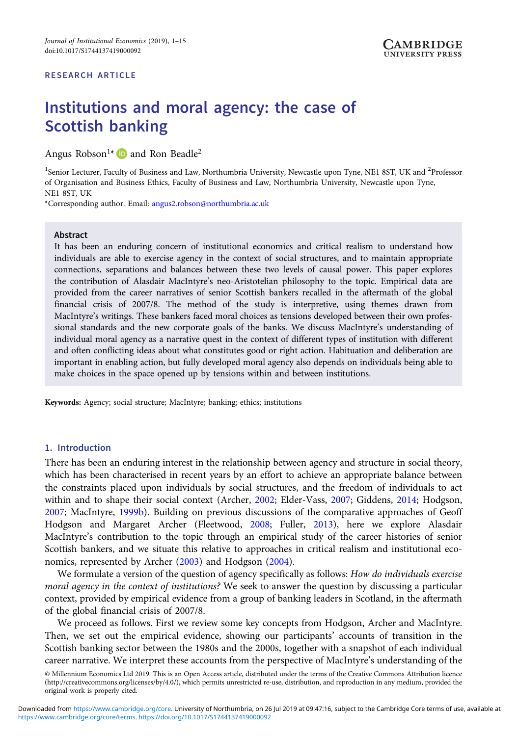# Institutions and moral agency: the case of Scottish banking

Angus Robson<sup>1\*</sup>  $\bullet$  and Ron Beadle<sup>2</sup>

<sup>1</sup>Senior Lecturer, Faculty of Business and Law, Northumbria University, Newcastle upon Tyne, NE1 8ST, UK and <sup>2</sup>Professor of Organisation and Business Ethics, Faculty of Business and Law, Northumbria University, Newcastle upon Tyne, NE1 8ST, UK

\*Corresponding author. Email: [angus2.robson@northumbria.ac.uk](mailto:angus2.robson@northumbria.ac.uk)

#### Abstract

It has been an enduring concern of institutional economics and critical realism to understand how individuals are able to exercise agency in the context of social structures, and to maintain appropriate connections, separations and balances between these two levels of causal power. This paper explores the contribution of Alasdair MacIntyre's neo-Aristotelian philosophy to the topic. Empirical data are provided from the career narratives of senior Scottish bankers recalled in the aftermath of the global financial crisis of 2007/8. The method of the study is interpretive, using themes drawn from MacIntyre's writings. These bankers faced moral choices as tensions developed between their own professional standards and the new corporate goals of the banks. We discuss MacIntyre's understanding of individual moral agency as a narrative quest in the context of different types of institution with different and often conflicting ideas about what constitutes good or right action. Habituation and deliberation are important in enabling action, but fully developed moral agency also depends on individuals being able to make choices in the space opened up by tensions within and between institutions.

Keywords: Agency; social structure; MacIntyre; banking; ethics; institutions

## 1. Introduction

There has been an enduring interest in the relationship between agency and structure in social theory, which has been characterised in recent years by an effort to achieve an appropriate balance between the constraints placed upon individuals by social structures, and the freedom of individuals to act within and to shape their social context (Archer, [2002](#page-13-0); Elder-Vass, [2007](#page-13-0); Giddens, [2014;](#page-13-0) Hodgson, [2007](#page-13-0); MacIntyre, [1999b\)](#page-13-0). Building on previous discussions of the comparative approaches of Geoff Hodgson and Margaret Archer (Fleetwood, [2008](#page-13-0); Fuller, [2013\)](#page-13-0), here we explore Alasdair MacIntyre's contribution to the topic through an empirical study of the career histories of senior Scottish bankers, and we situate this relative to approaches in critical realism and institutional economics, represented by Archer ([2003](#page-13-0)) and Hodgson ([2004\)](#page-13-0).

We formulate a version of the question of agency specifically as follows: How do individuals exercise moral agency in the context of institutions? We seek to answer the question by discussing a particular context, provided by empirical evidence from a group of banking leaders in Scotland, in the aftermath of the global financial crisis of 2007/8.

We proceed as follows. First we review some key concepts from Hodgson, Archer and MacIntyre. Then, we set out the empirical evidence, showing our participants' accounts of transition in the Scottish banking sector between the 1980s and the 2000s, together with a snapshot of each individual career narrative. We interpret these accounts from the perspective of MacIntyre's understanding of the

© Millennium Economics Ltd 2019. This is an Open Access article, distributed under the terms of the Creative Commons Attribution licence (http://creativecommons.org/licenses/by/4.0/), which permits unrestricted re-use, distribution, and reproduction in any medium, provided the original work is properly cited.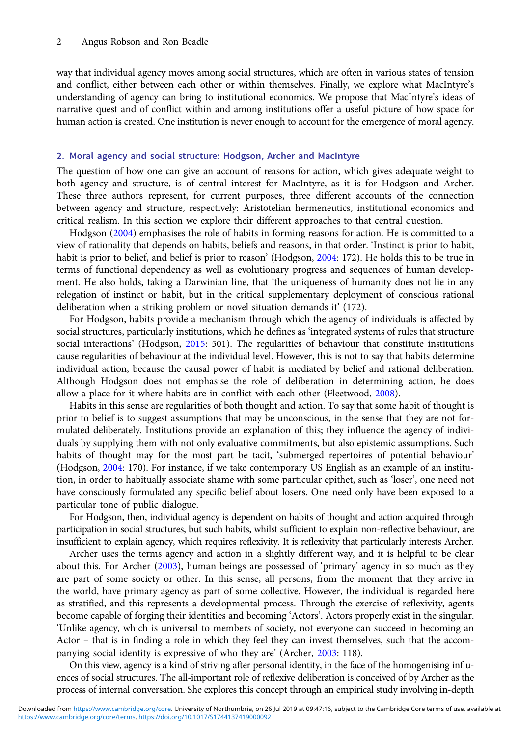way that individual agency moves among social structures, which are often in various states of tension and conflict, either between each other or within themselves. Finally, we explore what MacIntyre's understanding of agency can bring to institutional economics. We propose that MacIntyre's ideas of narrative quest and of conflict within and among institutions offer a useful picture of how space for human action is created. One institution is never enough to account for the emergence of moral agency.

#### 2. Moral agency and social structure: Hodgson, Archer and MacIntyre

The question of how one can give an account of reasons for action, which gives adequate weight to both agency and structure, is of central interest for MacIntyre, as it is for Hodgson and Archer. These three authors represent, for current purposes, three different accounts of the connection between agency and structure, respectively: Aristotelian hermeneutics, institutional economics and critical realism. In this section we explore their different approaches to that central question.

Hodgson ([2004](#page-13-0)) emphasises the role of habits in forming reasons for action. He is committed to a view of rationality that depends on habits, beliefs and reasons, in that order. 'Instinct is prior to habit, habit is prior to belief, and belief is prior to reason' (Hodgson, [2004](#page-13-0): 172). He holds this to be true in terms of functional dependency as well as evolutionary progress and sequences of human development. He also holds, taking a Darwinian line, that 'the uniqueness of humanity does not lie in any relegation of instinct or habit, but in the critical supplementary deployment of conscious rational deliberation when a striking problem or novel situation demands it' (172).

For Hodgson, habits provide a mechanism through which the agency of individuals is affected by social structures, particularly institutions, which he defines as 'integrated systems of rules that structure social interactions' (Hodgson, [2015](#page-13-0): 501). The regularities of behaviour that constitute institutions cause regularities of behaviour at the individual level. However, this is not to say that habits determine individual action, because the causal power of habit is mediated by belief and rational deliberation. Although Hodgson does not emphasise the role of deliberation in determining action, he does allow a place for it where habits are in conflict with each other (Fleetwood, [2008](#page-13-0)).

Habits in this sense are regularities of both thought and action. To say that some habit of thought is prior to belief is to suggest assumptions that may be unconscious, in the sense that they are not formulated deliberately. Institutions provide an explanation of this; they influence the agency of individuals by supplying them with not only evaluative commitments, but also epistemic assumptions. Such habits of thought may for the most part be tacit, 'submerged repertoires of potential behaviour' (Hodgson, [2004:](#page-13-0) 170). For instance, if we take contemporary US English as an example of an institution, in order to habitually associate shame with some particular epithet, such as 'loser', one need not have consciously formulated any specific belief about losers. One need only have been exposed to a particular tone of public dialogue.

For Hodgson, then, individual agency is dependent on habits of thought and action acquired through participation in social structures, but such habits, whilst sufficient to explain non-reflective behaviour, are insufficient to explain agency, which requires reflexivity. It is reflexivity that particularly interests Archer.

Archer uses the terms agency and action in a slightly different way, and it is helpful to be clear about this. For Archer ([2003\)](#page-13-0), human beings are possessed of 'primary' agency in so much as they are part of some society or other. In this sense, all persons, from the moment that they arrive in the world, have primary agency as part of some collective. However, the individual is regarded here as stratified, and this represents a developmental process. Through the exercise of reflexivity, agents become capable of forging their identities and becoming 'Actors'. Actors properly exist in the singular. 'Unlike agency, which is universal to members of society, not everyone can succeed in becoming an Actor – that is in finding a role in which they feel they can invest themselves, such that the accompanying social identity is expressive of who they are' (Archer, [2003](#page-13-0): 118).

On this view, agency is a kind of striving after personal identity, in the face of the homogenising influences of social structures. The all-important role of reflexive deliberation is conceived of by Archer as the process of internal conversation. She explores this concept through an empirical study involving in-depth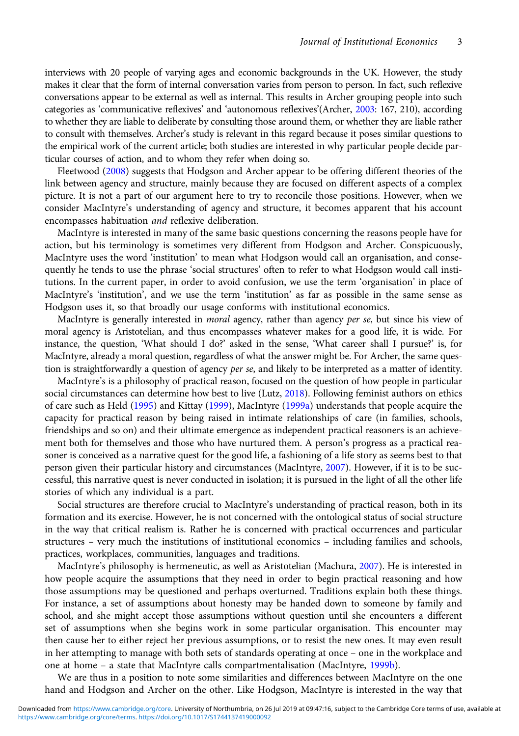interviews with 20 people of varying ages and economic backgrounds in the UK. However, the study makes it clear that the form of internal conversation varies from person to person. In fact, such reflexive conversations appear to be external as well as internal. This results in Archer grouping people into such categories as 'communicative reflexives' and 'autonomous reflexives'(Archer, [2003](#page-13-0): 167, 210), according to whether they are liable to deliberate by consulting those around them, or whether they are liable rather to consult with themselves. Archer's study is relevant in this regard because it poses similar questions to the empirical work of the current article; both studies are interested in why particular people decide particular courses of action, and to whom they refer when doing so.

Fleetwood ([2008](#page-13-0)) suggests that Hodgson and Archer appear to be offering different theories of the link between agency and structure, mainly because they are focused on different aspects of a complex picture. It is not a part of our argument here to try to reconcile those positions. However, when we consider MacIntyre's understanding of agency and structure, it becomes apparent that his account encompasses habituation and reflexive deliberation.

MacIntyre is interested in many of the same basic questions concerning the reasons people have for action, but his terminology is sometimes very different from Hodgson and Archer. Conspicuously, MacIntyre uses the word 'institution' to mean what Hodgson would call an organisation, and consequently he tends to use the phrase 'social structures' often to refer to what Hodgson would call institutions. In the current paper, in order to avoid confusion, we use the term 'organisation' in place of MacIntyre's 'institution', and we use the term 'institution' as far as possible in the same sense as Hodgson uses it, so that broadly our usage conforms with institutional economics.

MacIntyre is generally interested in *moral* agency, rather than agency *per se*, but since his view of moral agency is Aristotelian, and thus encompasses whatever makes for a good life, it is wide. For instance, the question, 'What should I do?' asked in the sense, 'What career shall I pursue?' is, for MacIntyre, already a moral question, regardless of what the answer might be. For Archer, the same question is straightforwardly a question of agency *per se*, and likely to be interpreted as a matter of identity.

MacIntyre's is a philosophy of practical reason, focused on the question of how people in particular social circumstances can determine how best to live (Lutz, [2018](#page-13-0)). Following feminist authors on ethics of care such as Held [\(1995\)](#page-13-0) and Kittay ([1999](#page-13-0)), MacIntyre [\(1999a](#page-13-0)) understands that people acquire the capacity for practical reason by being raised in intimate relationships of care (in families, schools, friendships and so on) and their ultimate emergence as independent practical reasoners is an achievement both for themselves and those who have nurtured them. A person's progress as a practical reasoner is conceived as a narrative quest for the good life, a fashioning of a life story as seems best to that person given their particular history and circumstances (MacIntyre, [2007](#page-14-0)). However, if it is to be successful, this narrative quest is never conducted in isolation; it is pursued in the light of all the other life stories of which any individual is a part.

Social structures are therefore crucial to MacIntyre's understanding of practical reason, both in its formation and its exercise. However, he is not concerned with the ontological status of social structure in the way that critical realism is. Rather he is concerned with practical occurrences and particular structures – very much the institutions of institutional economics – including families and schools, practices, workplaces, communities, languages and traditions.

MacIntyre's philosophy is hermeneutic, as well as Aristotelian (Machura, [2007](#page-13-0)). He is interested in how people acquire the assumptions that they need in order to begin practical reasoning and how those assumptions may be questioned and perhaps overturned. Traditions explain both these things. For instance, a set of assumptions about honesty may be handed down to someone by family and school, and she might accept those assumptions without question until she encounters a different set of assumptions when she begins work in some particular organisation. This encounter may then cause her to either reject her previous assumptions, or to resist the new ones. It may even result in her attempting to manage with both sets of standards operating at once – one in the workplace and one at home – a state that MacIntyre calls compartmentalisation (MacIntyre, [1999b](#page-13-0)).

We are thus in a position to note some similarities and differences between MacIntyre on the one hand and Hodgson and Archer on the other. Like Hodgson, MacIntyre is interested in the way that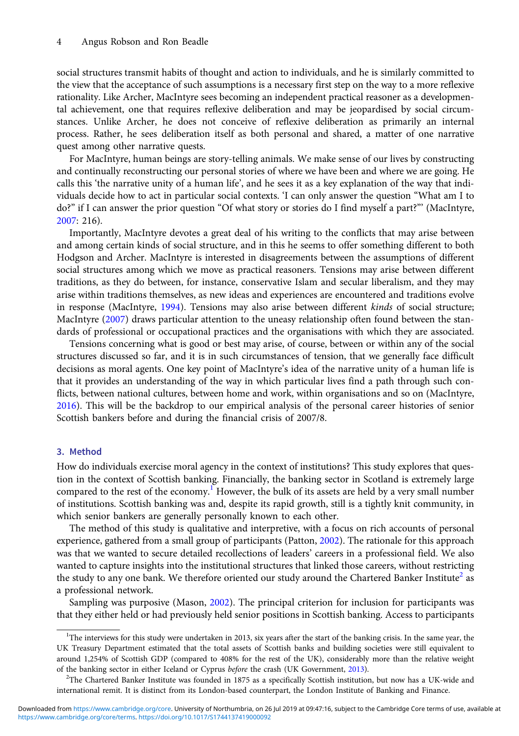social structures transmit habits of thought and action to individuals, and he is similarly committed to the view that the acceptance of such assumptions is a necessary first step on the way to a more reflexive rationality. Like Archer, MacIntyre sees becoming an independent practical reasoner as a developmental achievement, one that requires reflexive deliberation and may be jeopardised by social circumstances. Unlike Archer, he does not conceive of reflexive deliberation as primarily an internal process. Rather, he sees deliberation itself as both personal and shared, a matter of one narrative quest among other narrative quests.

For MacIntyre, human beings are story-telling animals. We make sense of our lives by constructing and continually reconstructing our personal stories of where we have been and where we are going. He calls this 'the narrative unity of a human life', and he sees it as a key explanation of the way that individuals decide how to act in particular social contexts. 'I can only answer the question "What am I to do?" if I can answer the prior question "Of what story or stories do I find myself a part?"' (MacIntyre, [2007:](#page-14-0) 216).

Importantly, MacIntyre devotes a great deal of his writing to the conflicts that may arise between and among certain kinds of social structure, and in this he seems to offer something different to both Hodgson and Archer. MacIntyre is interested in disagreements between the assumptions of different social structures among which we move as practical reasoners. Tensions may arise between different traditions, as they do between, for instance, conservative Islam and secular liberalism, and they may arise within traditions themselves, as new ideas and experiences are encountered and traditions evolve in response (MacIntyre, [1994](#page-13-0)). Tensions may also arise between different kinds of social structure; MacIntyre [\(2007\)](#page-14-0) draws particular attention to the uneasy relationship often found between the standards of professional or occupational practices and the organisations with which they are associated.

Tensions concerning what is good or best may arise, of course, between or within any of the social structures discussed so far, and it is in such circumstances of tension, that we generally face difficult decisions as moral agents. One key point of MacIntyre's idea of the narrative unity of a human life is that it provides an understanding of the way in which particular lives find a path through such conflicts, between national cultures, between home and work, within organisations and so on (MacIntyre, [2016\)](#page-14-0). This will be the backdrop to our empirical analysis of the personal career histories of senior Scottish bankers before and during the financial crisis of 2007/8.

#### 3. Method

How do individuals exercise moral agency in the context of institutions? This study explores that question in the context of Scottish banking. Financially, the banking sector in Scotland is extremely large compared to the rest of the economy.<sup>1</sup> However, the bulk of its assets are held by a very small number of institutions. Scottish banking was and, despite its rapid growth, still is a tightly knit community, in which senior bankers are generally personally known to each other.

The method of this study is qualitative and interpretive, with a focus on rich accounts of personal experience, gathered from a small group of participants (Patton, [2002\)](#page-14-0). The rationale for this approach was that we wanted to secure detailed recollections of leaders' careers in a professional field. We also wanted to capture insights into the institutional structures that linked those careers, without restricting the study to any one bank. We therefore oriented our study around the Chartered Banker Institute<sup>2</sup> as a professional network.

Sampling was purposive (Mason, [2002](#page-14-0)). The principal criterion for inclusion for participants was that they either held or had previously held senior positions in Scottish banking. Access to participants

<sup>&</sup>lt;sup>1</sup>The interviews for this study were undertaken in 2013, six years after the start of the banking crisis. In the same year, the UK Treasury Department estimated that the total assets of Scottish banks and building societies were still equivalent to around 1,254% of Scottish GDP (compared to 408% for the rest of the UK), considerably more than the relative weight of the banking sector in either Iceland or Cyprus before the crash (UK Government, [2013](#page-14-0)).

<sup>&</sup>lt;sup>2</sup>The Chartered Banker Institute was founded in 1875 as a specifically Scottish institution, but now has a UK-wide and international remit. It is distinct from its London-based counterpart, the London Institute of Banking and Finance.

[https://www.cambridge.org/core/terms.](https://www.cambridge.org/core/terms) <https://doi.org/10.1017/S1744137419000092> Downloaded from [https://www.cambridge.org/core.](https://www.cambridge.org/core) University of Northumbria, on 26 Jul 2019 at 09:47:16, subject to the Cambridge Core terms of use, available at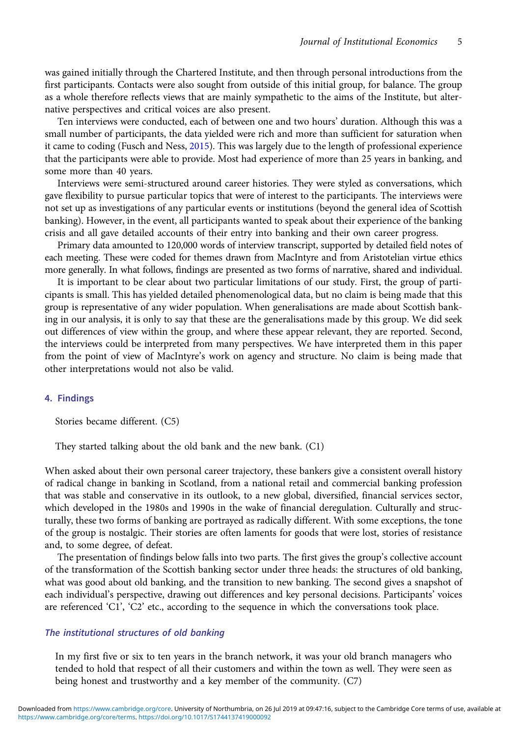was gained initially through the Chartered Institute, and then through personal introductions from the first participants. Contacts were also sought from outside of this initial group, for balance. The group as a whole therefore reflects views that are mainly sympathetic to the aims of the Institute, but alternative perspectives and critical voices are also present.

Ten interviews were conducted, each of between one and two hours' duration. Although this was a small number of participants, the data yielded were rich and more than sufficient for saturation when it came to coding (Fusch and Ness, [2015\)](#page-13-0). This was largely due to the length of professional experience that the participants were able to provide. Most had experience of more than 25 years in banking, and some more than 40 years.

Interviews were semi-structured around career histories. They were styled as conversations, which gave flexibility to pursue particular topics that were of interest to the participants. The interviews were not set up as investigations of any particular events or institutions (beyond the general idea of Scottish banking). However, in the event, all participants wanted to speak about their experience of the banking crisis and all gave detailed accounts of their entry into banking and their own career progress.

Primary data amounted to 120,000 words of interview transcript, supported by detailed field notes of each meeting. These were coded for themes drawn from MacIntyre and from Aristotelian virtue ethics more generally. In what follows, findings are presented as two forms of narrative, shared and individual.

It is important to be clear about two particular limitations of our study. First, the group of participants is small. This has yielded detailed phenomenological data, but no claim is being made that this group is representative of any wider population. When generalisations are made about Scottish banking in our analysis, it is only to say that these are the generalisations made by this group. We did seek out differences of view within the group, and where these appear relevant, they are reported. Second, the interviews could be interpreted from many perspectives. We have interpreted them in this paper from the point of view of MacIntyre's work on agency and structure. No claim is being made that other interpretations would not also be valid.

## 4. Findings

Stories became different. (C5)

They started talking about the old bank and the new bank. (C1)

When asked about their own personal career trajectory, these bankers give a consistent overall history of radical change in banking in Scotland, from a national retail and commercial banking profession that was stable and conservative in its outlook, to a new global, diversified, financial services sector, which developed in the 1980s and 1990s in the wake of financial deregulation. Culturally and structurally, these two forms of banking are portrayed as radically different. With some exceptions, the tone of the group is nostalgic. Their stories are often laments for goods that were lost, stories of resistance and, to some degree, of defeat.

The presentation of findings below falls into two parts. The first gives the group's collective account of the transformation of the Scottish banking sector under three heads: the structures of old banking, what was good about old banking, and the transition to new banking. The second gives a snapshot of each individual's perspective, drawing out differences and key personal decisions. Participants' voices are referenced 'C1', 'C2' etc., according to the sequence in which the conversations took place.

### The institutional structures of old banking

In my first five or six to ten years in the branch network, it was your old branch managers who tended to hold that respect of all their customers and within the town as well. They were seen as being honest and trustworthy and a key member of the community. (C7)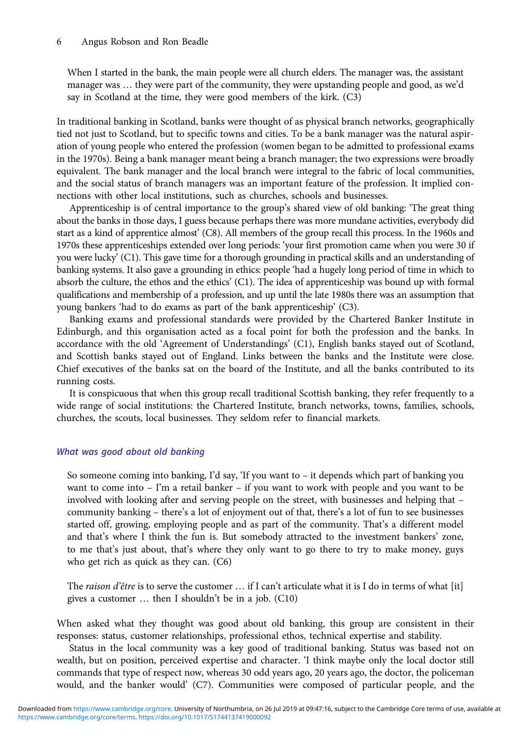#### 6 Angus Robson and Ron Beadle

When I started in the bank, the main people were all church elders. The manager was, the assistant manager was … they were part of the community, they were upstanding people and good, as we'd say in Scotland at the time, they were good members of the kirk. (C3)

In traditional banking in Scotland, banks were thought of as physical branch networks, geographically tied not just to Scotland, but to specific towns and cities. To be a bank manager was the natural aspiration of young people who entered the profession (women began to be admitted to professional exams in the 1970s). Being a bank manager meant being a branch manager; the two expressions were broadly equivalent. The bank manager and the local branch were integral to the fabric of local communities, and the social status of branch managers was an important feature of the profession. It implied connections with other local institutions, such as churches, schools and businesses.

Apprenticeship is of central importance to the group's shared view of old banking: 'The great thing about the banks in those days, I guess because perhaps there was more mundane activities, everybody did start as a kind of apprentice almost' (C8). All members of the group recall this process. In the 1960s and 1970s these apprenticeships extended over long periods: 'your first promotion came when you were 30 if you were lucky' (C1). This gave time for a thorough grounding in practical skills and an understanding of banking systems. It also gave a grounding in ethics: people 'had a hugely long period of time in which to absorb the culture, the ethos and the ethics' (C1). The idea of apprenticeship was bound up with formal qualifications and membership of a profession, and up until the late 1980s there was an assumption that young bankers 'had to do exams as part of the bank apprenticeship' (C3).

Banking exams and professional standards were provided by the Chartered Banker Institute in Edinburgh, and this organisation acted as a focal point for both the profession and the banks. In accordance with the old 'Agreement of Understandings' (C1), English banks stayed out of Scotland, and Scottish banks stayed out of England. Links between the banks and the Institute were close. Chief executives of the banks sat on the board of the Institute, and all the banks contributed to its running costs.

It is conspicuous that when this group recall traditional Scottish banking, they refer frequently to a wide range of social institutions: the Chartered Institute, branch networks, towns, families, schools, churches, the scouts, local businesses. They seldom refer to financial markets.

## What was good about old banking

So someone coming into banking, I'd say, 'If you want to – it depends which part of banking you want to come into – I'm a retail banker – if you want to work with people and you want to be involved with looking after and serving people on the street, with businesses and helping that – community banking – there's a lot of enjoyment out of that, there's a lot of fun to see businesses started off, growing, employing people and as part of the community. That's a different model and that's where I think the fun is. But somebody attracted to the investment bankers' zone, to me that's just about, that's where they only want to go there to try to make money, guys who get rich as quick as they can. (C6)

The raison d'être is to serve the customer ... if I can't articulate what it is I do in terms of what [it] gives a customer … then I shouldn't be in a job. (C10)

When asked what they thought was good about old banking, this group are consistent in their responses: status, customer relationships, professional ethos, technical expertise and stability.

Status in the local community was a key good of traditional banking. Status was based not on wealth, but on position, perceived expertise and character. 'I think maybe only the local doctor still commands that type of respect now, whereas 30 odd years ago, 20 years ago, the doctor, the policeman would, and the banker would' (C7). Communities were composed of particular people, and the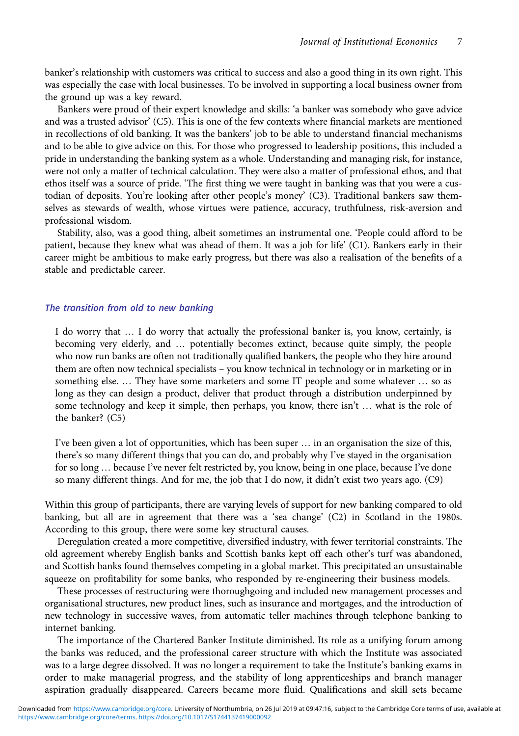banker's relationship with customers was critical to success and also a good thing in its own right. This was especially the case with local businesses. To be involved in supporting a local business owner from the ground up was a key reward.

Bankers were proud of their expert knowledge and skills: 'a banker was somebody who gave advice and was a trusted advisor' (C5). This is one of the few contexts where financial markets are mentioned in recollections of old banking. It was the bankers' job to be able to understand financial mechanisms and to be able to give advice on this. For those who progressed to leadership positions, this included a pride in understanding the banking system as a whole. Understanding and managing risk, for instance, were not only a matter of technical calculation. They were also a matter of professional ethos, and that ethos itself was a source of pride. 'The first thing we were taught in banking was that you were a custodian of deposits. You're looking after other people's money' (C3). Traditional bankers saw themselves as stewards of wealth, whose virtues were patience, accuracy, truthfulness, risk-aversion and professional wisdom.

Stability, also, was a good thing, albeit sometimes an instrumental one. 'People could afford to be patient, because they knew what was ahead of them. It was a job for life' (C1). Bankers early in their career might be ambitious to make early progress, but there was also a realisation of the benefits of a stable and predictable career.

## The transition from old to new banking

I do worry that … I do worry that actually the professional banker is, you know, certainly, is becoming very elderly, and … potentially becomes extinct, because quite simply, the people who now run banks are often not traditionally qualified bankers, the people who they hire around them are often now technical specialists – you know technical in technology or in marketing or in something else. ... They have some marketers and some IT people and some whatever ... so as long as they can design a product, deliver that product through a distribution underpinned by some technology and keep it simple, then perhaps, you know, there isn't … what is the role of the banker? (C5)

I've been given a lot of opportunities, which has been super … in an organisation the size of this, there's so many different things that you can do, and probably why I've stayed in the organisation for so long … because I've never felt restricted by, you know, being in one place, because I've done so many different things. And for me, the job that I do now, it didn't exist two years ago. (C9)

Within this group of participants, there are varying levels of support for new banking compared to old banking, but all are in agreement that there was a 'sea change' (C2) in Scotland in the 1980s. According to this group, there were some key structural causes.

Deregulation created a more competitive, diversified industry, with fewer territorial constraints. The old agreement whereby English banks and Scottish banks kept off each other's turf was abandoned, and Scottish banks found themselves competing in a global market. This precipitated an unsustainable squeeze on profitability for some banks, who responded by re-engineering their business models.

These processes of restructuring were thoroughgoing and included new management processes and organisational structures, new product lines, such as insurance and mortgages, and the introduction of new technology in successive waves, from automatic teller machines through telephone banking to internet banking.

The importance of the Chartered Banker Institute diminished. Its role as a unifying forum among the banks was reduced, and the professional career structure with which the Institute was associated was to a large degree dissolved. It was no longer a requirement to take the Institute's banking exams in order to make managerial progress, and the stability of long apprenticeships and branch manager aspiration gradually disappeared. Careers became more fluid. Qualifications and skill sets became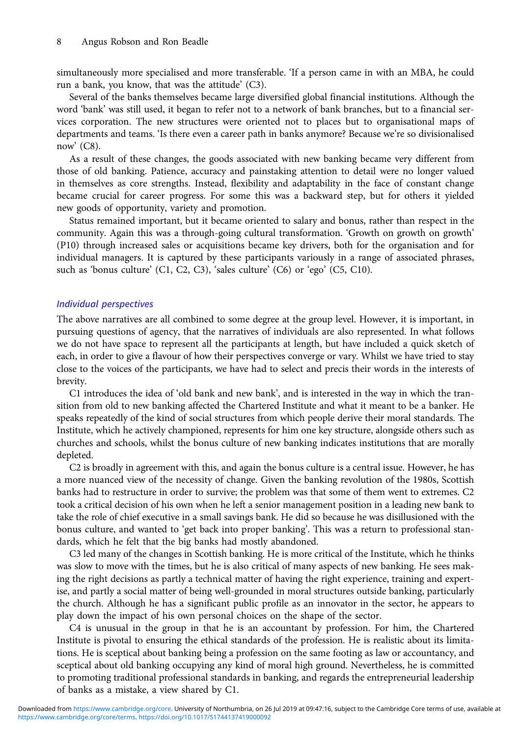simultaneously more specialised and more transferable. 'If a person came in with an MBA, he could run a bank, you know, that was the attitude' (C3).

Several of the banks themselves became large diversified global financial institutions. Although the word 'bank' was still used, it began to refer not to a network of bank branches, but to a financial services corporation. The new structures were oriented not to places but to organisational maps of departments and teams. 'Is there even a career path in banks anymore? Because we're so divisionalised now' (C8).

As a result of these changes, the goods associated with new banking became very different from those of old banking. Patience, accuracy and painstaking attention to detail were no longer valued in themselves as core strengths. Instead, flexibility and adaptability in the face of constant change became crucial for career progress. For some this was a backward step, but for others it yielded new goods of opportunity, variety and promotion.

Status remained important, but it became oriented to salary and bonus, rather than respect in the community. Again this was a through-going cultural transformation. 'Growth on growth on growth' (P10) through increased sales or acquisitions became key drivers, both for the organisation and for individual managers. It is captured by these participants variously in a range of associated phrases, such as 'bonus culture' (C1, C2, C3), 'sales culture' (C6) or 'ego' (C5, C10).

#### Individual perspectives

The above narratives are all combined to some degree at the group level. However, it is important, in pursuing questions of agency, that the narratives of individuals are also represented. In what follows we do not have space to represent all the participants at length, but have included a quick sketch of each, in order to give a flavour of how their perspectives converge or vary. Whilst we have tried to stay close to the voices of the participants, we have had to select and precis their words in the interests of brevity.

C1 introduces the idea of 'old bank and new bank', and is interested in the way in which the transition from old to new banking affected the Chartered Institute and what it meant to be a banker. He speaks repeatedly of the kind of social structures from which people derive their moral standards. The Institute, which he actively championed, represents for him one key structure, alongside others such as churches and schools, whilst the bonus culture of new banking indicates institutions that are morally depleted.

C2 is broadly in agreement with this, and again the bonus culture is a central issue. However, he has a more nuanced view of the necessity of change. Given the banking revolution of the 1980s, Scottish banks had to restructure in order to survive; the problem was that some of them went to extremes. C2 took a critical decision of his own when he left a senior management position in a leading new bank to take the role of chief executive in a small savings bank. He did so because he was disillusioned with the bonus culture, and wanted to 'get back into proper banking'. This was a return to professional standards, which he felt that the big banks had mostly abandoned.

C3 led many of the changes in Scottish banking. He is more critical of the Institute, which he thinks was slow to move with the times, but he is also critical of many aspects of new banking. He sees making the right decisions as partly a technical matter of having the right experience, training and expertise, and partly a social matter of being well-grounded in moral structures outside banking, particularly the church. Although he has a significant public profile as an innovator in the sector, he appears to play down the impact of his own personal choices on the shape of the sector.

C4 is unusual in the group in that he is an accountant by profession. For him, the Chartered Institute is pivotal to ensuring the ethical standards of the profession. He is realistic about its limitations. He is sceptical about banking being a profession on the same footing as law or accountancy, and sceptical about old banking occupying any kind of moral high ground. Nevertheless, he is committed to promoting traditional professional standards in banking, and regards the entrepreneurial leadership of banks as a mistake, a view shared by C1.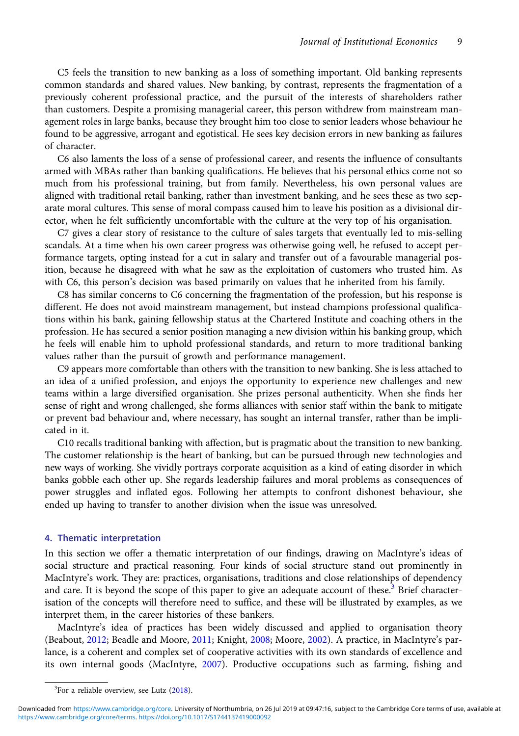C5 feels the transition to new banking as a loss of something important. Old banking represents common standards and shared values. New banking, by contrast, represents the fragmentation of a previously coherent professional practice, and the pursuit of the interests of shareholders rather than customers. Despite a promising managerial career, this person withdrew from mainstream management roles in large banks, because they brought him too close to senior leaders whose behaviour he found to be aggressive, arrogant and egotistical. He sees key decision errors in new banking as failures of character.

C6 also laments the loss of a sense of professional career, and resents the influence of consultants armed with MBAs rather than banking qualifications. He believes that his personal ethics come not so much from his professional training, but from family. Nevertheless, his own personal values are aligned with traditional retail banking, rather than investment banking, and he sees these as two separate moral cultures. This sense of moral compass caused him to leave his position as a divisional director, when he felt sufficiently uncomfortable with the culture at the very top of his organisation.

C7 gives a clear story of resistance to the culture of sales targets that eventually led to mis-selling scandals. At a time when his own career progress was otherwise going well, he refused to accept performance targets, opting instead for a cut in salary and transfer out of a favourable managerial position, because he disagreed with what he saw as the exploitation of customers who trusted him. As with C6, this person's decision was based primarily on values that he inherited from his family.

C8 has similar concerns to C6 concerning the fragmentation of the profession, but his response is different. He does not avoid mainstream management, but instead champions professional qualifications within his bank, gaining fellowship status at the Chartered Institute and coaching others in the profession. He has secured a senior position managing a new division within his banking group, which he feels will enable him to uphold professional standards, and return to more traditional banking values rather than the pursuit of growth and performance management.

C9 appears more comfortable than others with the transition to new banking. She is less attached to an idea of a unified profession, and enjoys the opportunity to experience new challenges and new teams within a large diversified organisation. She prizes personal authenticity. When she finds her sense of right and wrong challenged, she forms alliances with senior staff within the bank to mitigate or prevent bad behaviour and, where necessary, has sought an internal transfer, rather than be implicated in it.

C10 recalls traditional banking with affection, but is pragmatic about the transition to new banking. The customer relationship is the heart of banking, but can be pursued through new technologies and new ways of working. She vividly portrays corporate acquisition as a kind of eating disorder in which banks gobble each other up. She regards leadership failures and moral problems as consequences of power struggles and inflated egos. Following her attempts to confront dishonest behaviour, she ended up having to transfer to another division when the issue was unresolved.

## 4. Thematic interpretation

In this section we offer a thematic interpretation of our findings, drawing on MacIntyre's ideas of social structure and practical reasoning. Four kinds of social structure stand out prominently in MacIntyre's work. They are: practices, organisations, traditions and close relationships of dependency and care. It is beyond the scope of this paper to give an adequate account of these.<sup>3</sup> Brief characterisation of the concepts will therefore need to suffice, and these will be illustrated by examples, as we interpret them, in the career histories of these bankers.

MacIntyre's idea of practices has been widely discussed and applied to organisation theory (Beabout, [2012](#page-13-0); Beadle and Moore, [2011](#page-13-0); Knight, [2008;](#page-13-0) Moore, [2002](#page-14-0)). A practice, in MacIntyre's parlance, is a coherent and complex set of cooperative activities with its own standards of excellence and its own internal goods (MacIntyre, [2007\)](#page-14-0). Productive occupations such as farming, fishing and

 ${}^{3}$ For a reliable overview, see Lutz [\(2018\)](#page-13-0).

[https://www.cambridge.org/core/terms.](https://www.cambridge.org/core/terms) <https://doi.org/10.1017/S1744137419000092> Downloaded from [https://www.cambridge.org/core.](https://www.cambridge.org/core) University of Northumbria, on 26 Jul 2019 at 09:47:16, subject to the Cambridge Core terms of use, available at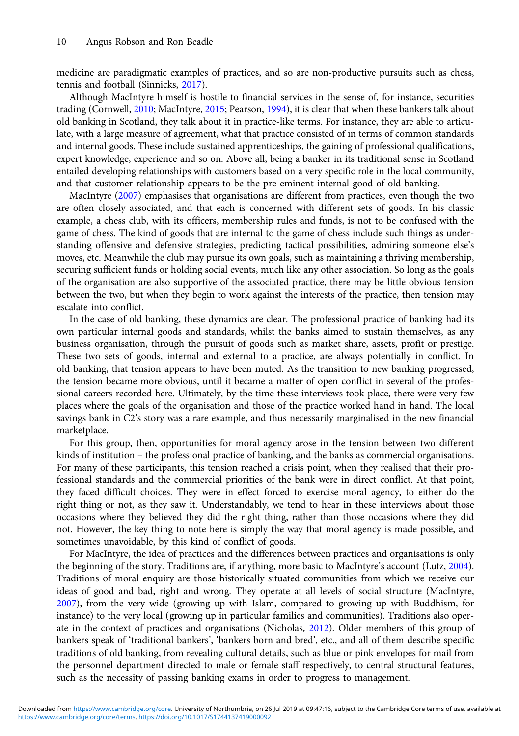medicine are paradigmatic examples of practices, and so are non-productive pursuits such as chess, tennis and football (Sinnicks, [2017\)](#page-14-0).

Although MacIntyre himself is hostile to financial services in the sense of, for instance, securities trading (Cornwell, [2010;](#page-13-0) MacIntyre, [2015;](#page-14-0) Pearson, [1994](#page-14-0)), it is clear that when these bankers talk about old banking in Scotland, they talk about it in practice-like terms. For instance, they are able to articulate, with a large measure of agreement, what that practice consisted of in terms of common standards and internal goods. These include sustained apprenticeships, the gaining of professional qualifications, expert knowledge, experience and so on. Above all, being a banker in its traditional sense in Scotland entailed developing relationships with customers based on a very specific role in the local community, and that customer relationship appears to be the pre-eminent internal good of old banking.

MacIntyre [\(2007](#page-14-0)) emphasises that organisations are different from practices, even though the two are often closely associated, and that each is concerned with different sets of goods. In his classic example, a chess club, with its officers, membership rules and funds, is not to be confused with the game of chess. The kind of goods that are internal to the game of chess include such things as understanding offensive and defensive strategies, predicting tactical possibilities, admiring someone else's moves, etc. Meanwhile the club may pursue its own goals, such as maintaining a thriving membership, securing sufficient funds or holding social events, much like any other association. So long as the goals of the organisation are also supportive of the associated practice, there may be little obvious tension between the two, but when they begin to work against the interests of the practice, then tension may escalate into conflict.

In the case of old banking, these dynamics are clear. The professional practice of banking had its own particular internal goods and standards, whilst the banks aimed to sustain themselves, as any business organisation, through the pursuit of goods such as market share, assets, profit or prestige. These two sets of goods, internal and external to a practice, are always potentially in conflict. In old banking, that tension appears to have been muted. As the transition to new banking progressed, the tension became more obvious, until it became a matter of open conflict in several of the professional careers recorded here. Ultimately, by the time these interviews took place, there were very few places where the goals of the organisation and those of the practice worked hand in hand. The local savings bank in C2's story was a rare example, and thus necessarily marginalised in the new financial marketplace.

For this group, then, opportunities for moral agency arose in the tension between two different kinds of institution – the professional practice of banking, and the banks as commercial organisations. For many of these participants, this tension reached a crisis point, when they realised that their professional standards and the commercial priorities of the bank were in direct conflict. At that point, they faced difficult choices. They were in effect forced to exercise moral agency, to either do the right thing or not, as they saw it. Understandably, we tend to hear in these interviews about those occasions where they believed they did the right thing, rather than those occasions where they did not. However, the key thing to note here is simply the way that moral agency is made possible, and sometimes unavoidable, by this kind of conflict of goods.

For MacIntyre, the idea of practices and the differences between practices and organisations is only the beginning of the story. Traditions are, if anything, more basic to MacIntyre's account (Lutz, [2004](#page-13-0)). Traditions of moral enquiry are those historically situated communities from which we receive our ideas of good and bad, right and wrong. They operate at all levels of social structure (MacIntyre, [2007\)](#page-14-0), from the very wide (growing up with Islam, compared to growing up with Buddhism, for instance) to the very local (growing up in particular families and communities). Traditions also operate in the context of practices and organisations (Nicholas, [2012\)](#page-14-0). Older members of this group of bankers speak of 'traditional bankers', 'bankers born and bred', etc., and all of them describe specific traditions of old banking, from revealing cultural details, such as blue or pink envelopes for mail from the personnel department directed to male or female staff respectively, to central structural features, such as the necessity of passing banking exams in order to progress to management.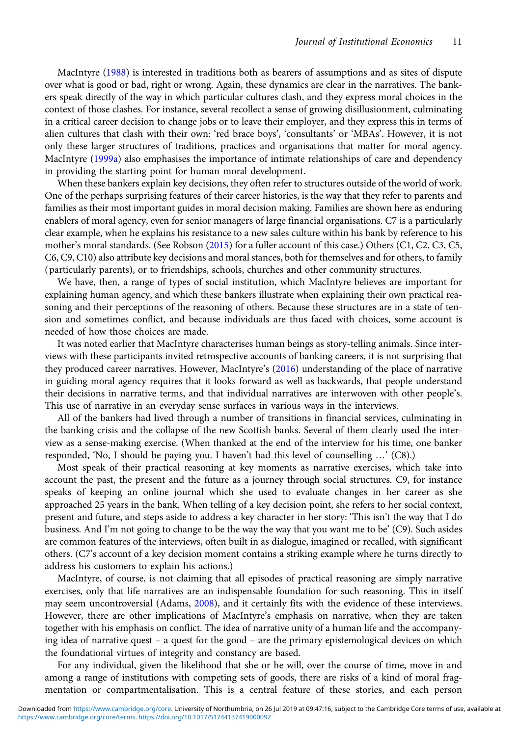MacIntyre [\(1988\)](#page-13-0) is interested in traditions both as bearers of assumptions and as sites of dispute over what is good or bad, right or wrong. Again, these dynamics are clear in the narratives. The bankers speak directly of the way in which particular cultures clash, and they express moral choices in the context of those clashes. For instance, several recollect a sense of growing disillusionment, culminating in a critical career decision to change jobs or to leave their employer, and they express this in terms of alien cultures that clash with their own: 'red brace boys', 'consultants' or 'MBAs'. However, it is not only these larger structures of traditions, practices and organisations that matter for moral agency. MacIntyre [\(1999a](#page-13-0)) also emphasises the importance of intimate relationships of care and dependency in providing the starting point for human moral development.

When these bankers explain key decisions, they often refer to structures outside of the world of work. One of the perhaps surprising features of their career histories, is the way that they refer to parents and families as their most important guides in moral decision making. Families are shown here as enduring enablers of moral agency, even for senior managers of large financial organisations. C7 is a particularly clear example, when he explains his resistance to a new sales culture within his bank by reference to his mother's moral standards. (See Robson ([2015\)](#page-14-0) for a fuller account of this case.) Others (C1, C2, C3, C5, C6, C9, C10) also attribute key decisions and moral stances, both for themselves and for others, to family (particularly parents), or to friendships, schools, churches and other community structures.

We have, then, a range of types of social institution, which MacIntyre believes are important for explaining human agency, and which these bankers illustrate when explaining their own practical reasoning and their perceptions of the reasoning of others. Because these structures are in a state of tension and sometimes conflict, and because individuals are thus faced with choices, some account is needed of how those choices are made.

It was noted earlier that MacIntyre characterises human beings as story-telling animals. Since interviews with these participants invited retrospective accounts of banking careers, it is not surprising that they produced career narratives. However, MacIntyre's [\(2016\)](#page-14-0) understanding of the place of narrative in guiding moral agency requires that it looks forward as well as backwards, that people understand their decisions in narrative terms, and that individual narratives are interwoven with other people's. This use of narrative in an everyday sense surfaces in various ways in the interviews.

All of the bankers had lived through a number of transitions in financial services, culminating in the banking crisis and the collapse of the new Scottish banks. Several of them clearly used the interview as a sense-making exercise. (When thanked at the end of the interview for his time, one banker responded, 'No, I should be paying you. I haven't had this level of counselling …' (C8).)

Most speak of their practical reasoning at key moments as narrative exercises, which take into account the past, the present and the future as a journey through social structures. C9, for instance speaks of keeping an online journal which she used to evaluate changes in her career as she approached 25 years in the bank. When telling of a key decision point, she refers to her social context, present and future, and steps aside to address a key character in her story: 'This isn't the way that I do business. And I'm not going to change to be the way the way that you want me to be' (C9). Such asides are common features of the interviews, often built in as dialogue, imagined or recalled, with significant others. (C7's account of a key decision moment contains a striking example where he turns directly to address his customers to explain his actions.)

MacIntyre, of course, is not claiming that all episodes of practical reasoning are simply narrative exercises, only that life narratives are an indispensable foundation for such reasoning. This in itself may seem uncontroversial (Adams, [2008](#page-13-0)), and it certainly fits with the evidence of these interviews. However, there are other implications of MacIntyre's emphasis on narrative, when they are taken together with his emphasis on conflict. The idea of narrative unity of a human life and the accompanying idea of narrative quest – a quest for the good – are the primary epistemological devices on which the foundational virtues of integrity and constancy are based.

For any individual, given the likelihood that she or he will, over the course of time, move in and among a range of institutions with competing sets of goods, there are risks of a kind of moral fragmentation or compartmentalisation. This is a central feature of these stories, and each person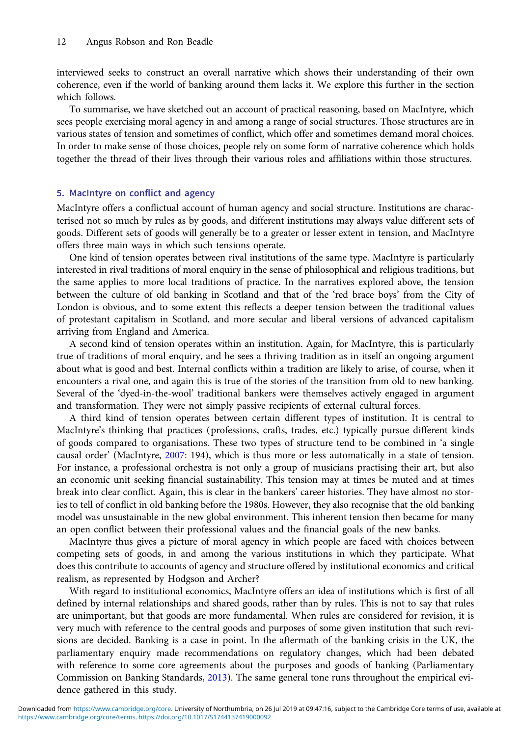interviewed seeks to construct an overall narrative which shows their understanding of their own coherence, even if the world of banking around them lacks it. We explore this further in the section which follows.

To summarise, we have sketched out an account of practical reasoning, based on MacIntyre, which sees people exercising moral agency in and among a range of social structures. Those structures are in various states of tension and sometimes of conflict, which offer and sometimes demand moral choices. In order to make sense of those choices, people rely on some form of narrative coherence which holds together the thread of their lives through their various roles and affiliations within those structures.

#### 5. MacIntyre on conflict and agency

MacIntyre offers a conflictual account of human agency and social structure. Institutions are characterised not so much by rules as by goods, and different institutions may always value different sets of goods. Different sets of goods will generally be to a greater or lesser extent in tension, and MacIntyre offers three main ways in which such tensions operate.

One kind of tension operates between rival institutions of the same type. MacIntyre is particularly interested in rival traditions of moral enquiry in the sense of philosophical and religious traditions, but the same applies to more local traditions of practice. In the narratives explored above, the tension between the culture of old banking in Scotland and that of the 'red brace boys' from the City of London is obvious, and to some extent this reflects a deeper tension between the traditional values of protestant capitalism in Scotland, and more secular and liberal versions of advanced capitalism arriving from England and America.

A second kind of tension operates within an institution. Again, for MacIntyre, this is particularly true of traditions of moral enquiry, and he sees a thriving tradition as in itself an ongoing argument about what is good and best. Internal conflicts within a tradition are likely to arise, of course, when it encounters a rival one, and again this is true of the stories of the transition from old to new banking. Several of the 'dyed-in-the-wool' traditional bankers were themselves actively engaged in argument and transformation. They were not simply passive recipients of external cultural forces.

A third kind of tension operates between certain different types of institution. It is central to MacIntyre's thinking that practices (professions, crafts, trades, etc.) typically pursue different kinds of goods compared to organisations. These two types of structure tend to be combined in 'a single causal order' (MacIntyre, [2007:](#page-14-0) 194), which is thus more or less automatically in a state of tension. For instance, a professional orchestra is not only a group of musicians practising their art, but also an economic unit seeking financial sustainability. This tension may at times be muted and at times break into clear conflict. Again, this is clear in the bankers' career histories. They have almost no stories to tell of conflict in old banking before the 1980s. However, they also recognise that the old banking model was unsustainable in the new global environment. This inherent tension then became for many an open conflict between their professional values and the financial goals of the new banks.

MacIntyre thus gives a picture of moral agency in which people are faced with choices between competing sets of goods, in and among the various institutions in which they participate. What does this contribute to accounts of agency and structure offered by institutional economics and critical realism, as represented by Hodgson and Archer?

With regard to institutional economics, MacIntyre offers an idea of institutions which is first of all defined by internal relationships and shared goods, rather than by rules. This is not to say that rules are unimportant, but that goods are more fundamental. When rules are considered for revision, it is very much with reference to the central goods and purposes of some given institution that such revisions are decided. Banking is a case in point. In the aftermath of the banking crisis in the UK, the parliamentary enquiry made recommendations on regulatory changes, which had been debated with reference to some core agreements about the purposes and goods of banking (Parliamentary Commission on Banking Standards, [2013\)](#page-14-0). The same general tone runs throughout the empirical evidence gathered in this study.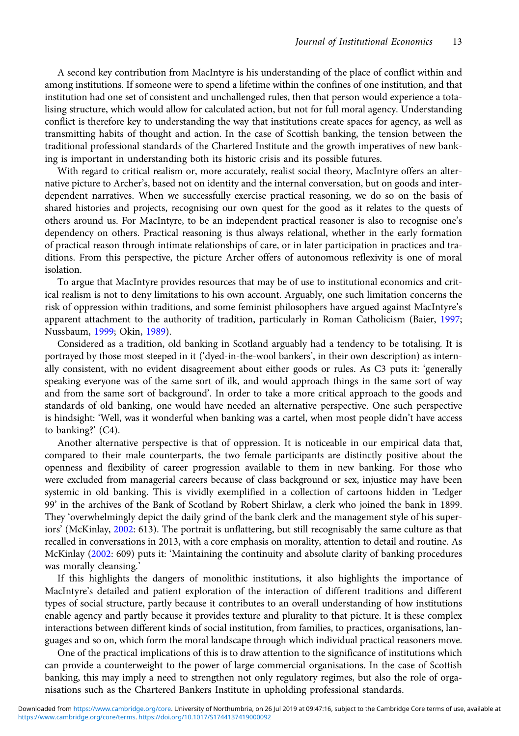A second key contribution from MacIntyre is his understanding of the place of conflict within and among institutions. If someone were to spend a lifetime within the confines of one institution, and that institution had one set of consistent and unchallenged rules, then that person would experience a totalising structure, which would allow for calculated action, but not for full moral agency. Understanding conflict is therefore key to understanding the way that institutions create spaces for agency, as well as transmitting habits of thought and action. In the case of Scottish banking, the tension between the traditional professional standards of the Chartered Institute and the growth imperatives of new banking is important in understanding both its historic crisis and its possible futures.

With regard to critical realism or, more accurately, realist social theory, MacIntyre offers an alternative picture to Archer's, based not on identity and the internal conversation, but on goods and interdependent narratives. When we successfully exercise practical reasoning, we do so on the basis of shared histories and projects, recognising our own quest for the good as it relates to the quests of others around us. For MacIntyre, to be an independent practical reasoner is also to recognise one's dependency on others. Practical reasoning is thus always relational, whether in the early formation of practical reason through intimate relationships of care, or in later participation in practices and traditions. From this perspective, the picture Archer offers of autonomous reflexivity is one of moral isolation.

To argue that MacIntyre provides resources that may be of use to institutional economics and critical realism is not to deny limitations to his own account. Arguably, one such limitation concerns the risk of oppression within traditions, and some feminist philosophers have argued against MacIntyre's apparent attachment to the authority of tradition, particularly in Roman Catholicism (Baier, [1997](#page-13-0); Nussbaum, [1999](#page-14-0); Okin, [1989](#page-14-0)).

Considered as a tradition, old banking in Scotland arguably had a tendency to be totalising. It is portrayed by those most steeped in it ('dyed-in-the-wool bankers', in their own description) as internally consistent, with no evident disagreement about either goods or rules. As C3 puts it: 'generally speaking everyone was of the same sort of ilk, and would approach things in the same sort of way and from the same sort of background'. In order to take a more critical approach to the goods and standards of old banking, one would have needed an alternative perspective. One such perspective is hindsight: 'Well, was it wonderful when banking was a cartel, when most people didn't have access to banking?' (C4).

Another alternative perspective is that of oppression. It is noticeable in our empirical data that, compared to their male counterparts, the two female participants are distinctly positive about the openness and flexibility of career progression available to them in new banking. For those who were excluded from managerial careers because of class background or sex, injustice may have been systemic in old banking. This is vividly exemplified in a collection of cartoons hidden in 'Ledger 99' in the archives of the Bank of Scotland by Robert Shirlaw, a clerk who joined the bank in 1899. They 'overwhelmingly depict the daily grind of the bank clerk and the management style of his superiors' (McKinlay, [2002:](#page-14-0) 613). The portrait is unflattering, but still recognisably the same culture as that recalled in conversations in 2013, with a core emphasis on morality, attention to detail and routine. As McKinlay ([2002:](#page-14-0) 609) puts it: 'Maintaining the continuity and absolute clarity of banking procedures was morally cleansing.'

If this highlights the dangers of monolithic institutions, it also highlights the importance of MacIntyre's detailed and patient exploration of the interaction of different traditions and different types of social structure, partly because it contributes to an overall understanding of how institutions enable agency and partly because it provides texture and plurality to that picture. It is these complex interactions between different kinds of social institution, from families, to practices, organisations, languages and so on, which form the moral landscape through which individual practical reasoners move.

One of the practical implications of this is to draw attention to the significance of institutions which can provide a counterweight to the power of large commercial organisations. In the case of Scottish banking, this may imply a need to strengthen not only regulatory regimes, but also the role of organisations such as the Chartered Bankers Institute in upholding professional standards.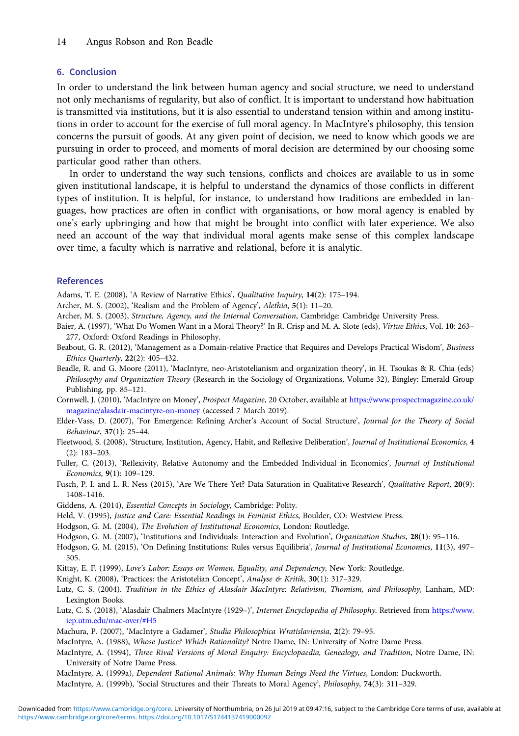# <span id="page-13-0"></span>6. Conclusion

In order to understand the link between human agency and social structure, we need to understand not only mechanisms of regularity, but also of conflict. It is important to understand how habituation is transmitted via institutions, but it is also essential to understand tension within and among institutions in order to account for the exercise of full moral agency. In MacIntyre's philosophy, this tension concerns the pursuit of goods. At any given point of decision, we need to know which goods we are pursuing in order to proceed, and moments of moral decision are determined by our choosing some particular good rather than others.

In order to understand the way such tensions, conflicts and choices are available to us in some given institutional landscape, it is helpful to understand the dynamics of those conflicts in different types of institution. It is helpful, for instance, to understand how traditions are embedded in languages, how practices are often in conflict with organisations, or how moral agency is enabled by one's early upbringing and how that might be brought into conflict with later experience. We also need an account of the way that individual moral agents make sense of this complex landscape over time, a faculty which is narrative and relational, before it is analytic.

# References

Adams, T. E. (2008), 'A Review of Narrative Ethics', Qualitative Inquiry, 14(2): 175–194.

Archer, M. S. (2002), 'Realism and the Problem of Agency', Alethia, 5(1): 11–20.

Archer, M. S. (2003), Structure, Agency, and the Internal Conversation, Cambridge: Cambridge University Press.

Baier, A. (1997), 'What Do Women Want in a Moral Theory?' In R. Crisp and M. A. Slote (eds), Virtue Ethics, Vol. 10: 263-277, Oxford: Oxford Readings in Philosophy.

Beabout, G. R. (2012), 'Management as a Domain-relative Practice that Requires and Develops Practical Wisdom', Business Ethics Quarterly, 22(2): 405–432.

Beadle, R. and G. Moore (2011), 'MacIntyre, neo-Aristotelianism and organization theory', in H. Tsoukas & R. Chia (eds) Philosophy and Organization Theory (Research in the Sociology of Organizations, Volume 32), Bingley: Emerald Group Publishing, pp. 85–121.

Cornwell, J. (2010), 'MacIntyre on Money', Prospect Magazine, 20 October, available at [https://www.prospectmagazine.co.uk/](https://www.prospectmagazine.co.uk/magazine/alasdair-macintyre-on-money) [magazine/alasdair-macintyre-on-money](https://www.prospectmagazine.co.uk/magazine/alasdair-macintyre-on-money) (accessed 7 March 2019).

Elder-Vass, D. (2007), 'For Emergence: Refining Archer's Account of Social Structure', Journal for the Theory of Social Behaviour, 37(1): 25–44.

Fleetwood, S. (2008), 'Structure, Institution, Agency, Habit, and Reflexive Deliberation', Journal of Institutional Economics, 4 (2): 183–203.

Fuller, C. (2013), 'Reflexivity, Relative Autonomy and the Embedded Individual in Economics', Journal of Institutional Economics, 9(1): 109–129.

Fusch, P. I. and L. R. Ness (2015), 'Are We There Yet? Data Saturation in Qualitative Research', Qualitative Report, 20(9): 1408–1416.

Giddens, A. (2014), Essential Concepts in Sociology, Cambridge: Polity.

Held, V. (1995), Justice and Care: Essential Readings in Feminist Ethics, Boulder, CO: Westview Press.

Hodgson, G. M. (2004), The Evolution of Institutional Economics, London: Routledge.

Hodgson, G. M. (2007), 'Institutions and Individuals: Interaction and Evolution', Organization Studies, 28(1): 95–116.

Hodgson, G. M. (2015), 'On Defining Institutions: Rules versus Equilibria', Journal of Institutional Economics, 11(3), 497– 505.

Kittay, E. F. (1999), Love's Labor: Essays on Women, Equality, and Dependency, New York: Routledge.

Knight, K. (2008), 'Practices: the Aristotelian Concept', Analyse & Kritik, 30(1): 317-329.

Lutz, C. S. (2004). Tradition in the Ethics of Alasdair MacIntyre: Relativism, Thomism, and Philosophy, Lanham, MD: Lexington Books.

Lutz, C. S. (2018), 'Alasdair Chalmers MacIntyre (1929–)', Internet Encyclopedia of Philosophy. Retrieved from [https://www.](https://www.iep.utm.edu/mac-over/#H5) [iep.utm.edu/mac-over/#H5](https://www.iep.utm.edu/mac-over/#H5)

Machura, P. (2007), 'MacIntyre a Gadamer', Studia Philosophica Wratislaviensia, 2(2): 79–95.

MacIntyre, A. (1988), Whose Justice? Which Rationality? Notre Dame, IN: University of Notre Dame Press.

MacIntyre, A. (1994), Three Rival Versions of Moral Enquiry: Encyclopaedia, Genealogy, and Tradition, Notre Dame, IN: University of Notre Dame Press.

MacIntyre, A. (1999a), Dependent Rational Animals: Why Human Beings Need the Virtues, London: Duckworth. MacIntyre, A. (1999b), 'Social Structures and their Threats to Moral Agency', Philosophy, 74(3): 311–329.

[https://www.cambridge.org/core/terms.](https://www.cambridge.org/core/terms) <https://doi.org/10.1017/S1744137419000092> Downloaded from [https://www.cambridge.org/core.](https://www.cambridge.org/core) University of Northumbria, on 26 Jul 2019 at 09:47:16, subject to the Cambridge Core terms of use, available at